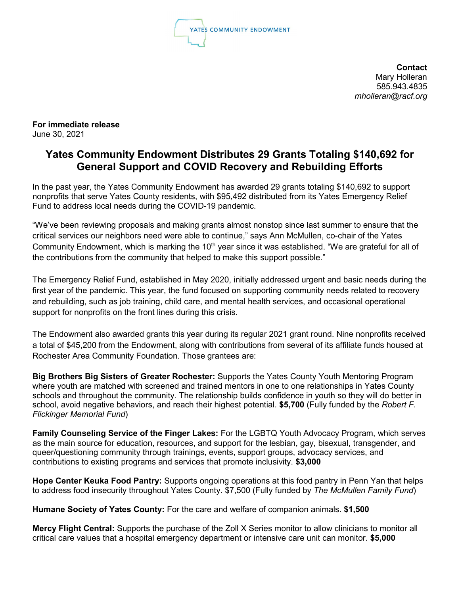

**Contact** Mary Holleran 585.943.4835 *mholleran@racf.org*

**For immediate release** June 30, 2021

## **Yates Community Endowment Distributes 29 Grants Totaling \$140,692 for General Support and COVID Recovery and Rebuilding Efforts**

In the past year, the Yates Community Endowment has awarded 29 grants totaling \$140,692 to support nonprofits that serve Yates County residents, with \$95,492 distributed from its Yates Emergency Relief Fund to address local needs during the COVID-19 pandemic.

"We've been reviewing proposals and making grants almost nonstop since last summer to ensure that the critical services our neighbors need were able to continue," says Ann McMullen, co-chair of the Yates Community Endowment, which is marking the 10<sup>th</sup> year since it was established. "We are grateful for all of the contributions from the community that helped to make this support possible."

The Emergency Relief Fund, established in May 2020, initially addressed urgent and basic needs during the first year of the pandemic. This year, the fund focused on supporting community needs related to recovery and rebuilding, such as job training, child care, and mental health services, and occasional operational support for nonprofits on the front lines during this crisis.

The Endowment also awarded grants this year during its regular 2021 grant round. Nine nonprofits received a total of \$45,200 from the Endowment, along with contributions from several of its affiliate funds housed at Rochester Area Community Foundation. Those grantees are:

**Big Brothers Big Sisters of Greater Rochester:** Supports the Yates County Youth Mentoring Program where youth are matched with screened and trained mentors in one to one relationships in Yates County schools and throughout the community. The relationship builds confidence in youth so they will do better in school, avoid negative behaviors, and reach their highest potential. **\$5,700** (Fully funded by the *Robert F. Flickinger Memorial Fund*)

**Family Counseling Service of the Finger Lakes:** For the LGBTQ Youth Advocacy Program, which serves as the main source for education, resources, and support for the lesbian, gay, bisexual, transgender, and queer/questioning community through trainings, events, support groups, advocacy services, and contributions to existing programs and services that promote inclusivity. **\$3,000**

**Hope Center Keuka Food Pantry:** Supports ongoing operations at this food pantry in Penn Yan that helps to address food insecurity throughout Yates County. \$7,500 (Fully funded by *The McMullen Family Fund*)

**Humane Society of Yates County:** For the care and welfare of companion animals. **\$1,500**

**Mercy Flight Central:** Supports the purchase of the Zoll X Series monitor to allow clinicians to monitor all critical care values that a hospital emergency department or intensive care unit can monitor. **\$5,000**